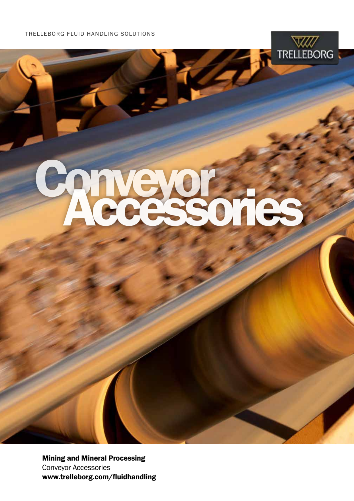TRELLEBORG FLUID HANDLING SOLUTIONS

# Conveyor Accessories

**TRELLEBORG** 

Mining and Mineral Processing Conveyor Accessories www.trelleborg.com/fluidhandling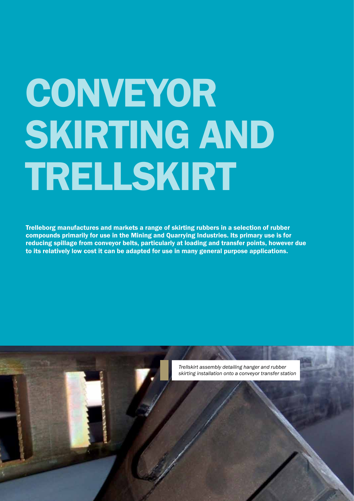# CONVEYOR SKIRTING AND TRELLSKIRT

Trelleborg manufactures and markets a range of skirting rubbers in a selection of rubber compounds primarily for use in the Mining and Quarrying Industries. Its primary use is for reducing spillage from conveyor belts, particularly at loading and transfer points, however due to its relatively low cost it can be adapted for use in many general purpose applications.

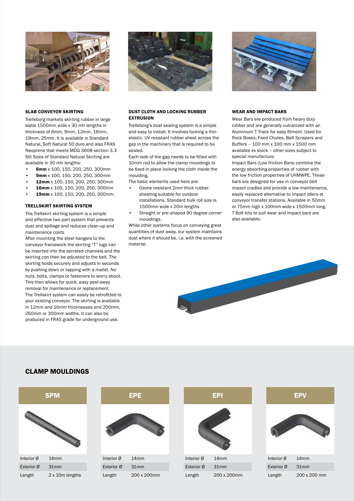

### SLAB CONVEYOR SKIRTING

Trelleborg markets skirting rubber in large slabs 1500mm wide x 30 mtr lengths in thickness of 6mm, 9mm, 12mm, 16mm, 19mm, 25mm. It is available in Standard Natural, Soft Natural 50 duro and also FRAS Neoprene that meets MDG 3608 section 3.3 Slit Sizes of Standard Natural Skirting are available in 30 mtr lengths:

- 6mm x 100, 150, 200, 250, 300mm
- 9mm x 100, 150, 200, 250, 300mm
- 12mm x 100, 150, 200, 250, 300mm
- 16mm x 100, 150, 200, 250, 300mm
- 19mm x 100, 150, 200, 250, 300mm.

### TRELLSKIRT SKIRTING SYSTEM

The Trellskirt skirting system is a simple and effective two part system that prevents dust and spillage and reduces clean-up and maintenance costs.

After mounting the steel hangers to the conveyor framework the skirting "T" lugs can be inserted into the serrated channels and the skirting can then be adjusted to the belt. The skirting holds securely and adjusts in seconds by pushing down or tapping with a mallet. No nuts, bolts, clamps or fasteners to worry about. This then allows for quick, easy peel-away removal for maintenance or replacement. The Trellskirt system can easily be retrofitted to your existing conveyor. The skirting is available in 12mm and 16mm thicknesses and 200mm, 250mm or 300mm widths. It can also be produced in FRAS grade for underground use.



### DUST CLOTH AND LOCKING RUBBER EXTRUSION

Trelleborg's dust sealing system is a simple and easy to install. It involves locking a thin elastic, UV resistant rubber sheet across the gap in the machinery that is required to be sealed.

Each side of the gap needs to be fitted with 10mm rod to allow the clamp mouldings to be fixed in place locking the cloth inside the moulding.

The basic elements used here are:

- Ozone resistant 2mm thick rubber sheeting suitable for outdoor installations. Standard bulk roll size is 1500mm wide x 20m lengths
- Straight or pre-shaped 90 degree corner mouldings.

While other systems focus on conveying great quantities of dust away, our system maintains dust where it should be, i.e. with the screened material.



### WEAR AND IMPACT BARS

Wear Bars are produced from heavy duty rubber and are generally vulcanized with an Aluminium T Track for easy fitment. Used for Rock Boxes, Feed Chutes, Belt Scrapers and Buffers – 100 mm x 100 mm x 1500 mm available ex stock – other sizes subject to special manufacture.

Impact Bars (Low friction Bars) combine the energy absorbing properties of rubber with the low friction properties of UHMWPE. These bars are designed for use in conveyor belt impact cradles and provide a low maintenance, easily replaced alternative to impact idlers at conveyor transfer stations. Available in 50mm or 75mm high x 100mm wide x 1500mm long. T Bolt kits to suit wear and impact bars are also available.



## CLAMP MOULDINGS